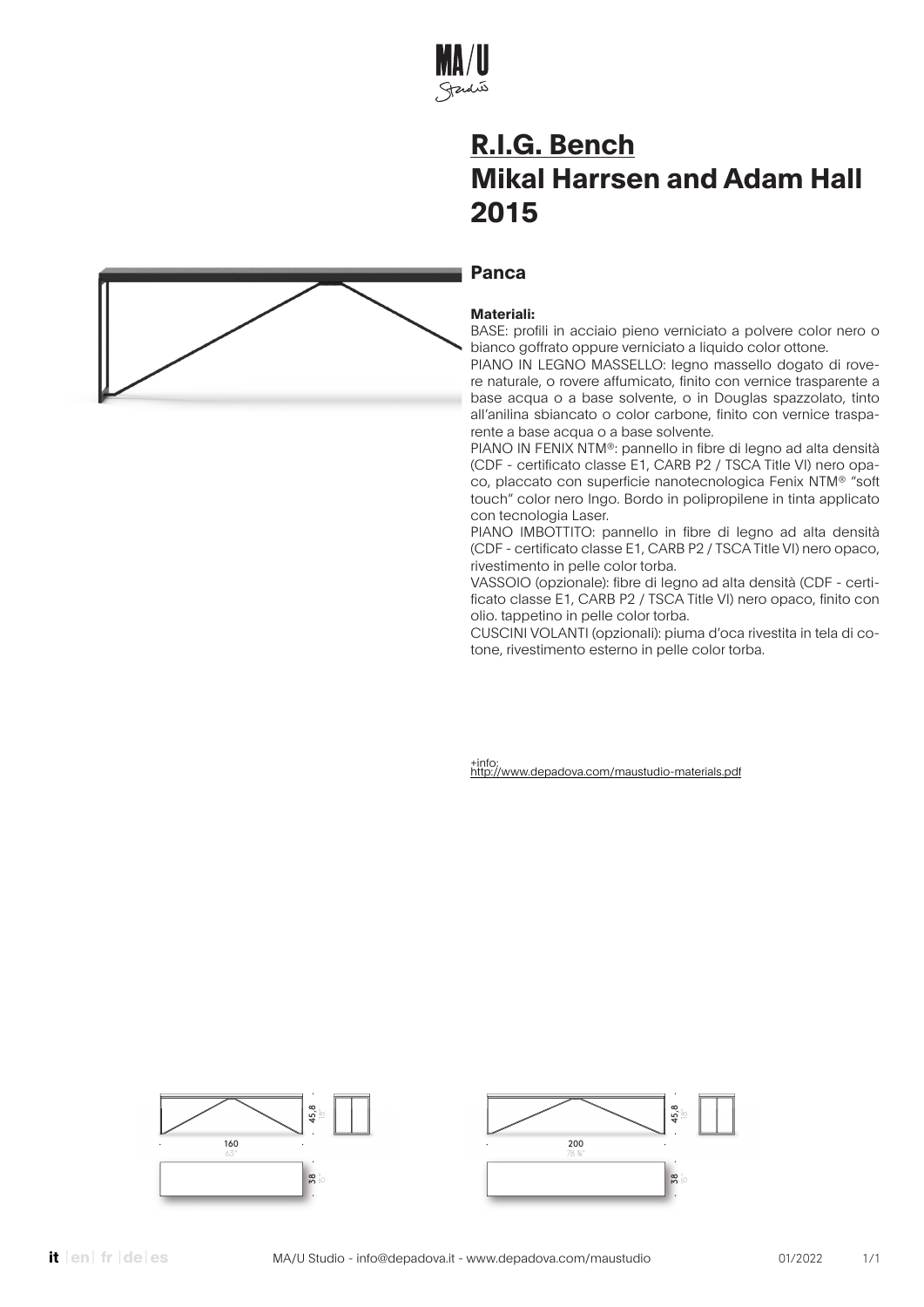

### **Panca**

#### **Materiali:**

BASE: profili in acciaio pieno verniciato a polvere color nero o bianco goffrato oppure verniciato a liquido color ottone.

PIANO IN LEGNO MASSELLO: legno massello dogato di rovere naturale, o rovere affumicato, finito con vernice trasparente a base acqua o a base solvente, o in Douglas spazzolato, tinto all'anilina sbiancato o color carbone, finito con vernice trasparente a base acqua o a base solvente.

PIANO IN FENIX NTM®: pannello in fibre di legno ad alta densità (CDF - certificato classe E1, CARB P2 / TSCA Title VI) nero opaco, placcato con superficie nanotecnologica Fenix NTM® "soft touch" color nero Ingo. Bordo in polipropilene in tinta applicato con tecnologia Laser.

PIANO IMBOTTITO: pannello in fibre di legno ad alta densità (CDF - certificato classe E1, CARB P2 / TSCA Title VI) nero opaco, rivestimento in pelle color torba.

VASSOIO (opzionale): fibre di legno ad alta densità (CDF - certificato classe E1, CARB P2 / TSCA Title VI) nero opaco, finito con olio. tappetino in pelle color torba.

CUSCINI VOLANTI (opzionali): piuma d'oca rivestita in tela di cotone, rivestimento esterno in pelle color torba.





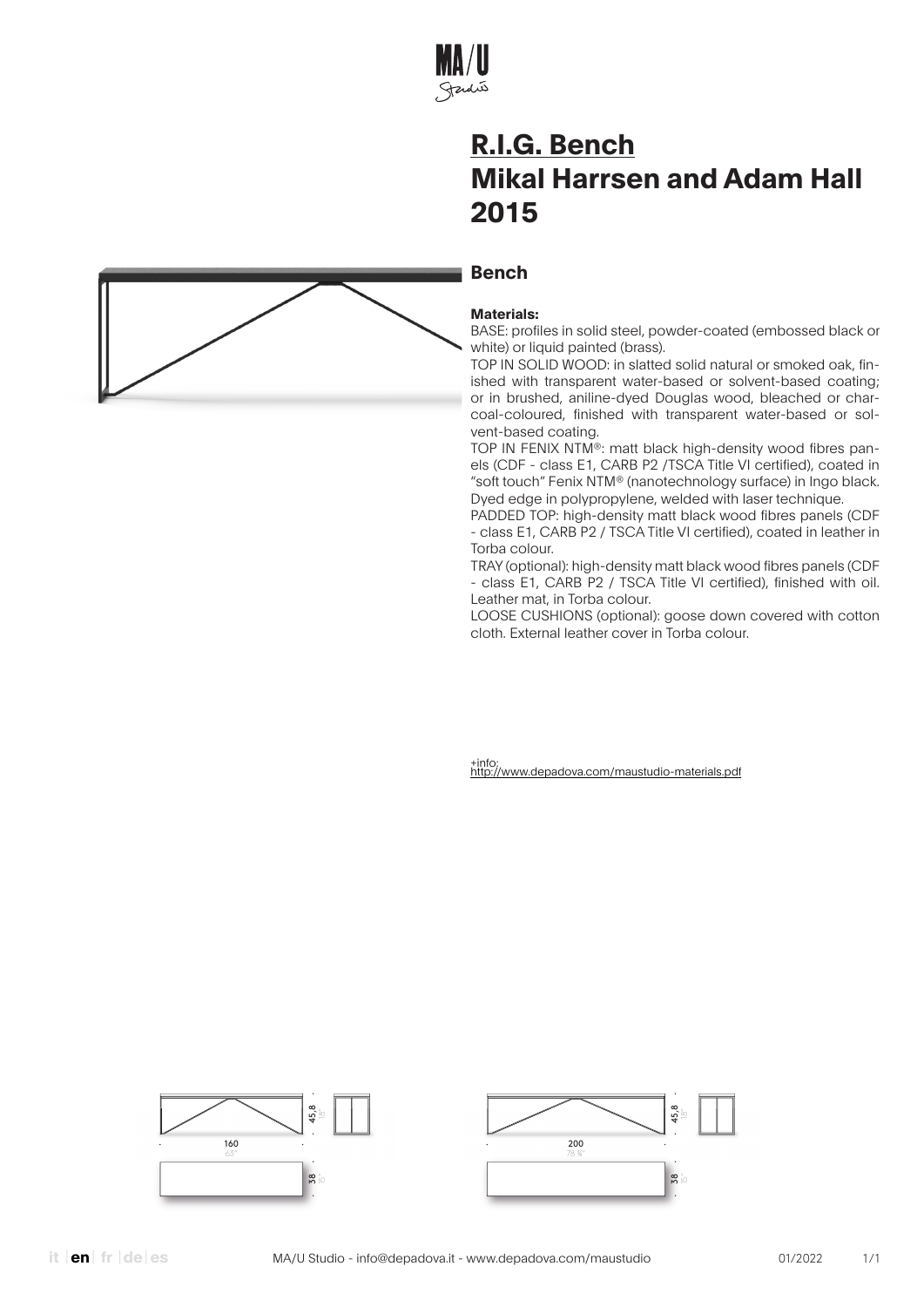

### **Bench**



BASE: profiles in solid steel, powder-coated (embossed black or white) or liquid painted (brass).

TOP IN SOLID WOOD: in slatted solid natural or smoked oak, finished with transparent water-based or solvent-based coating; or in brushed, aniline-dyed Douglas wood, bleached or charcoal-coloured, finished with transparent water-based or solvent-based coating.

TOP IN FENIX NTM®: matt black high-density wood fibres panels (CDF - class E1, CARB P2 /TSCA Title VI certified), coated in "soft touch" Fenix NTM® (nanotechnology surface) in Ingo black. Dyed edge in polypropylene, welded with laser technique.

PADDED TOP: high-density matt black wood fibres panels (CDF - class E1, CARB P2 / TSCA Title VI certified), coated in leather in Torba colour.

TRAY (optional): high-density matt black wood fibres panels (CDF - class E1, CARB P2 / TSCA Title VI certified), finished with oil. Leather mat, in Torba colour.

LOOSE CUSHIONS (optional): goose down covered with cotton cloth. External leather cover in Torba colour.

+info: http://www.depadova.com/maustudio-materials.pdf





**it en**| **fr** |**de**| **es**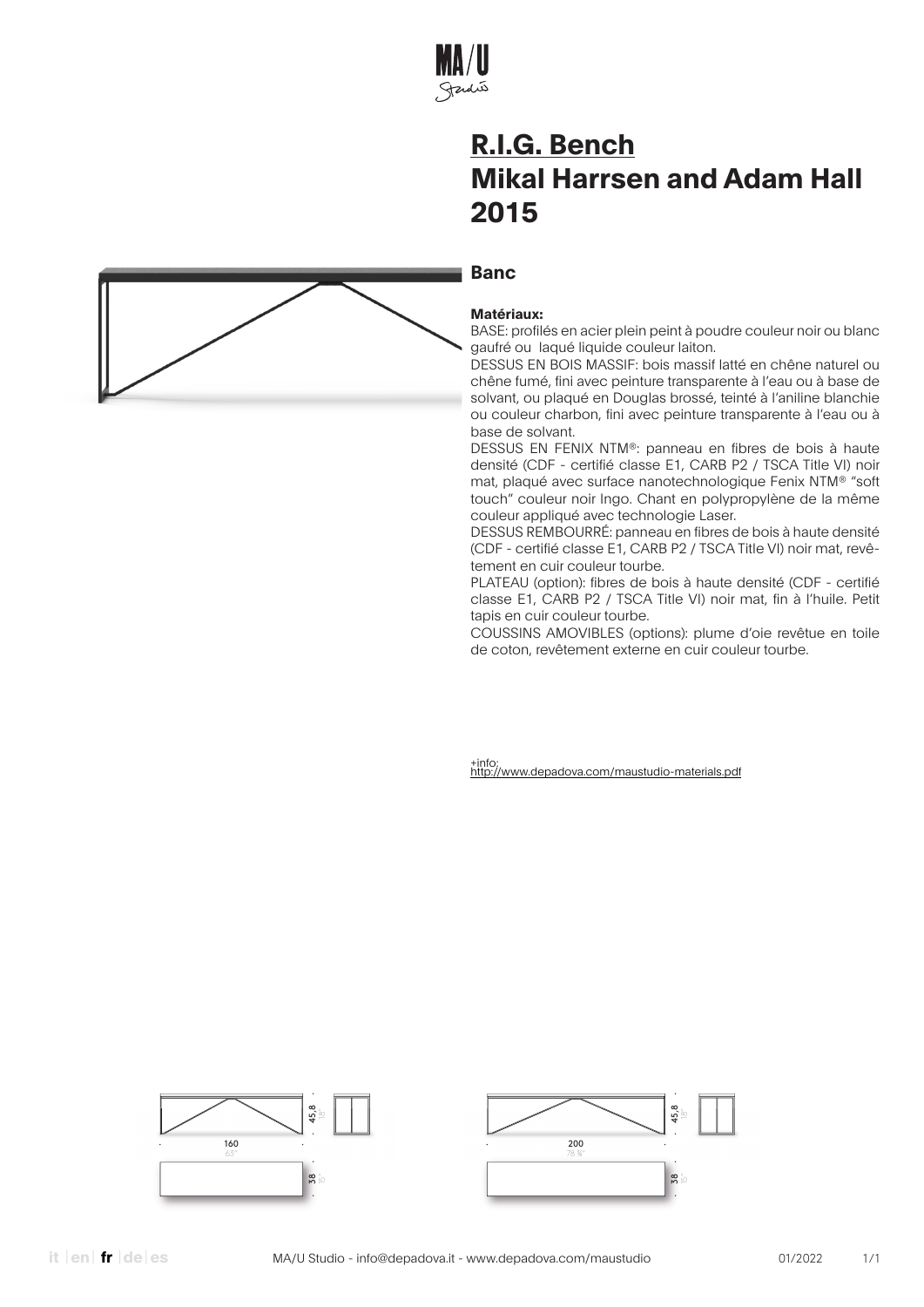

#### **Banc**



BASE: profilés en acier plein peint à poudre couleur noir ou blanc gaufré ou laqué liquide couleur laiton.

DESSUS EN BOIS MASSIF: bois massif latté en chêne naturel ou chêne fumé, fini avec peinture transparente à l'eau ou à base de solvant, ou plaqué en Douglas brossé, teinté à l'aniline blanchie ou couleur charbon, fini avec peinture transparente à l'eau ou à base de solvant.

DESSUS EN FENIX NTM®: panneau en fibres de bois à haute densité (CDF - certifié classe E1, CARB P2 / TSCA Title VI) noir mat, plaqué avec surface nanotechnologique Fenix NTM® "soft touch" couleur noir Ingo. Chant en polypropylène de la même couleur appliqué avec technologie Laser.

DESSUS REMBOURRÉ: panneau en fibres de bois à haute densité (CDF - certifié classe E1, CARB P2 / TSCA Title VI) noir mat, revêtement en cuir couleur tourbe.

PLATEAU (option): fibres de bois à haute densité (CDF - certifié classe E1, CARB P2 / TSCA Title VI) noir mat, fin à l'huile. Petit tapis en cuir couleur tourbe.

COUSSINS AMOVIBLES (options): plume d'oie revêtue en toile de coton, revêtement externe en cuir couleur tourbe.



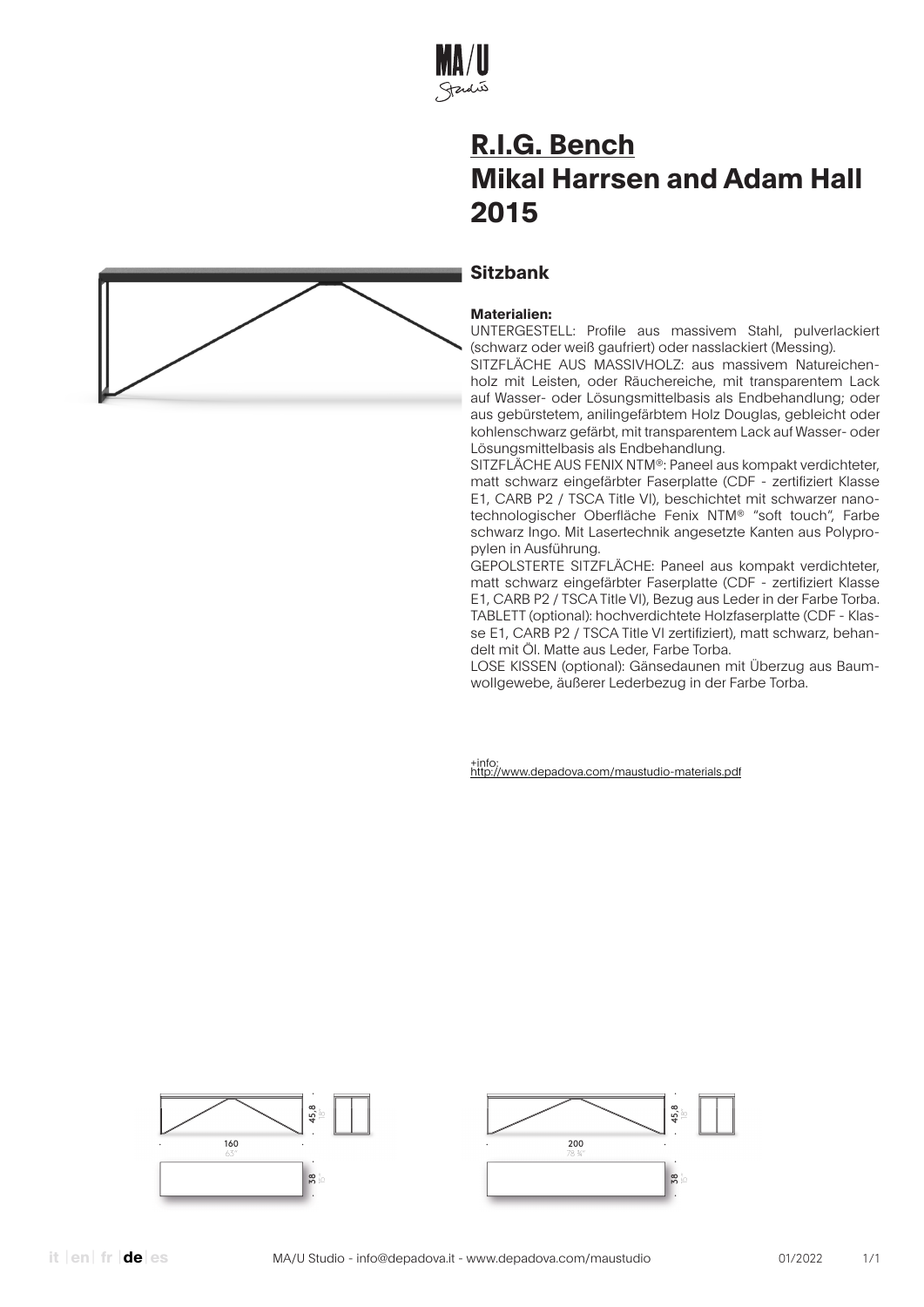

### **Sitzbank**

#### **Materialien:**

UNTERGESTELL: Profile aus massivem Stahl, pulverlackiert (schwarz oder weiß gaufriert) oder nasslackiert (Messing).

SITZFLÄCHE AUS MASSIVHOLZ: aus massivem Natureichenholz mit Leisten, oder Räuchereiche, mit transparentem Lack auf Wasser- oder Lösungsmittelbasis als Endbehandlung; oder aus gebürstetem, anilingefärbtem Holz Douglas, gebleicht oder kohlenschwarz gefärbt, mit transparentem Lack auf Wasser- oder Lösungsmittelbasis als Endbehandlung.

SITZFLÄCHE AUS FENIX NTM®: Paneel aus kompakt verdichteter, matt schwarz eingefärbter Faserplatte (CDF - zertifiziert Klasse E1, CARB P2 / TSCA Title VI), beschichtet mit schwarzer nanotechnologischer Oberfläche Fenix NTM® "soft touch", Farbe schwarz Ingo. Mit Lasertechnik angesetzte Kanten aus Polypropylen in Ausführung.

GEPOLSTERTE SITZFLÄCHE: Paneel aus kompakt verdichteter, matt schwarz eingefärbter Faserplatte (CDF - zertifiziert Klasse E1, CARB P2 / TSCA Title VI), Bezug aus Leder in der Farbe Torba. TABLETT (optional): hochverdichtete Holzfaserplatte (CDF - Klasse E1, CARB P2 / TSCA Title VI zertifiziert), matt schwarz, behandelt mit Öl. Matte aus Leder, Farbe Torba.

LOSE KISSEN (optional): Gänsedaunen mit Überzug aus Baumwollgewebe, äußerer Lederbezug in der Farbe Torba.